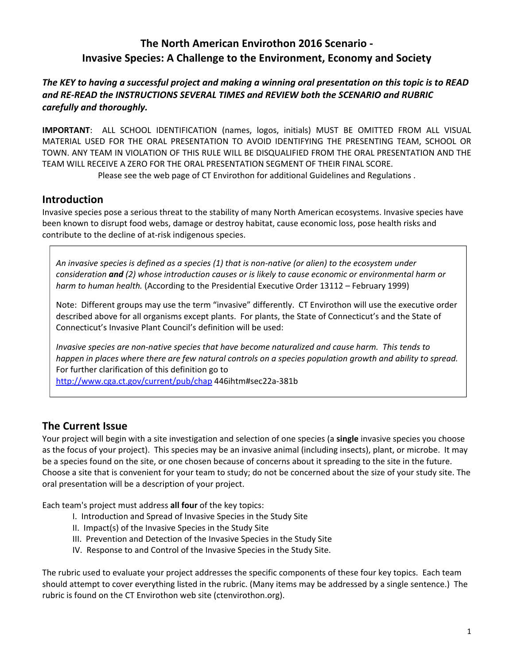# **The North American Envirothon 2016 Scenario ‐ Invasive Species: A Challenge to the Environment, Economy and Society**

The KEY to having a successful project and making a winning oral presentation on this topic is to READ *and RE‐READ the INSTRUCTIONS SEVERAL TIMES and REVIEW both the SCENARIO and RUBRIC carefully and thoroughly.*

**IMPORTANT**: ALL SCHOOL IDENTIFICATION (names, logos, initials) MUST BE OMITTED FROM ALL VISUAL MATERIAL USED FOR THE ORAL PRESENTATION TO AVOID IDENTIFYING THE PRESENTING TEAM, SCHOOL OR TOWN. ANY TEAM IN VIOLATION OF THIS RULE WILL BE DISQUALIFIED FROM THE ORAL PRESENTATION AND THE TEAM WILL RECEIVE A ZERO FOR THE ORAL PRESENTATION SEGMENT OF THEIR FINAL SCORE.

Please see the web page of CT Envirothon for additional Guidelines and Regulations .

## **Introduction**

Invasive species pose a serious threat to the stability of many North American ecosystems. Invasive species have been known to disrupt food webs, damage or destroy habitat, cause economic loss, pose health risks and contribute to the decline of at-risk indigenous species.

An invasive species is defined as a species (1) that is non-native (or alien) to the ecosystem under *consideration and (2) whose introduction causes or is likely to cause economic or environmental harm or harm to human health.* (According to the Presidential Executive Order 13112 – February 1999)

Note: Different groups may use the term "invasive" differently. CT Envirothon will use the executive order described above for all organisms except plants. For plants, the State of Connecticut's and the State of Connecticut's Invasive Plant Council's definition will be used:

Invasive species are non-native species that have become naturalized and cause harm. This tends to happen in places where there are few natural controls on a species population growth and ability to spread. For further clarification of this definition go to

http://www.cga.ct.gov/current/pub/chap 446ihtm#sec22a‐381b

# **The Current Issue**

Your project will begin with a site investigation and selection of one species (a **single** invasive species you choose as the focus of your project). This species may be an invasive animal (including insects), plant, or microbe. It may be a species found on the site, or one chosen because of concerns about it spreading to the site in the future. Choose a site that is convenient for your team to study; do not be concerned about the size of your study site. The oral presentation will be a description of your project.

Each team's project must address **all four** of the key topics:

- I. Introduction and Spread of Invasive Species in the Study Site
- II. Impact(s) of the Invasive Species in the Study Site
- III. Prevention and Detection of the Invasive Species in the Study Site
- IV. Response to and Control of the Invasive Species in the Study Site.

The rubric used to evaluate your project addresses the specific components of these four key topics. Each team should attempt to cover everything listed in the rubric. (Many items may be addressed by a single sentence.) The rubric is found on the CT Envirothon web site (ctenvirothon.org).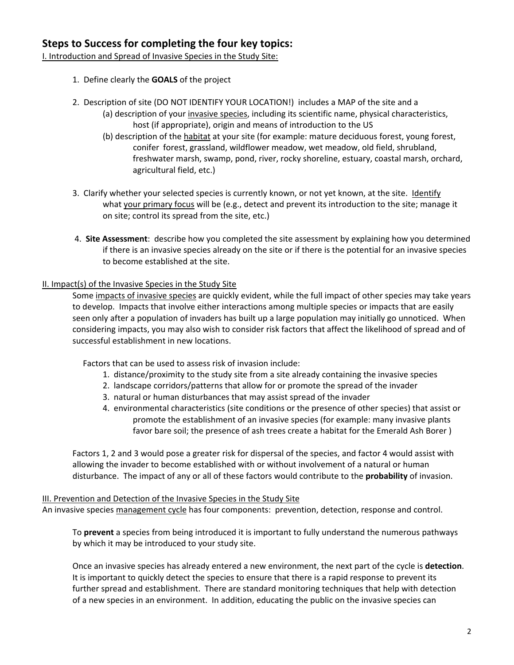I. Introduction and Spread of Invasive Species in the Study Site:

- 1. Define clearly the **GOALS** of the project
- 2. Description of site (DO NOT IDENTIFY YOUR LOCATION!) includes a MAP of the site and a
	- (a) description of your invasive species, including its scientific name, physical characteristics, host (if appropriate), origin and means of introduction to the US
		- (b) description of the habitat at your site (for example: mature deciduous forest, young forest, conifer forest, grassland, wildflower meadow, wet meadow, old field, shrubland, freshwater marsh, swamp, pond, river, rocky shoreline, estuary, coastal marsh, orchard, agricultural field, etc.)
- 3. Clarify whether your selected species is currently known, or not yet known, at the site. Identify what your primary focus will be (e.g., detect and prevent its introduction to the site; manage it on site; control its spread from the site, etc.)
- 4. **Site Assessment**: describe how you completed the site assessment by explaining how you determined if there is an invasive species already on the site or if there is the potential for an invasive species to become established at the site.

### II. Impact(s) of the Invasive Species in the Study Site

Some impacts of invasive species are quickly evident, while the full impact of other species may take years to develop. Impacts that involve either interactions among multiple species or impacts that are easily seen only after a population of invaders has built up a large population may initially go unnoticed. When considering impacts, you may also wish to consider risk factors that affect the likelihood of spread and of successful establishment in new locations.

Factors that can be used to assess risk of invasion include:

- 1. distance/proximity to the study site from a site already containing the invasive species
- 2. landscape corridors/patterns that allow for or promote the spread of the invader
- 3. natural or human disturbances that may assist spread of the invader
- 4. environmental characteristics (site conditions or the presence of other species) that assist or promote the establishment of an invasive species (for example: many invasive plants favor bare soil; the presence of ash trees create a habitat for the Emerald Ash Borer )

Factors 1, 2 and 3 would pose a greater risk for dispersal of the species, and factor 4 would assist with allowing the invader to become established with or without involvement of a natural or human disturbance. The impact of any or all of these factors would contribute to the **probability** of invasion.

#### III. Prevention and Detection of the Invasive Species in the Study Site

An invasive species management cycle has four components: prevention, detection, response and control.

To **prevent** a species from being introduced it is important to fully understand the numerous pathways by which it may be introduced to your study site.

Once an invasive species has already entered a new environment, the next part of the cycle is **detection**. It is important to quickly detect the species to ensure that there is a rapid response to prevent its further spread and establishment. There are standard monitoring techniques that help with detection of a new species in an environment. In addition, educating the public on the invasive species can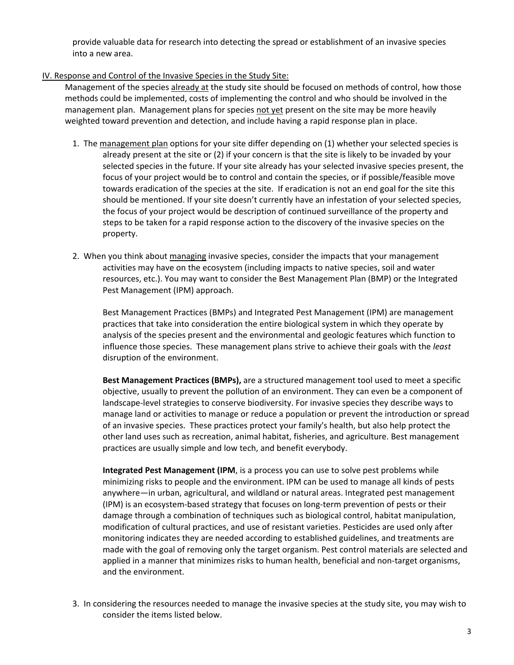provide valuable data for research into detecting the spread or establishment of an invasive species into a new area.

### IV. Response and Control of the Invasive Species in the Study Site:

Management of the species already at the study site should be focused on methods of control, how those methods could be implemented, costs of implementing the control and who should be involved in the management plan. Management plans for species not yet present on the site may be more heavily weighted toward prevention and detection, and include having a rapid response plan in place.

- 1. The management plan options for your site differ depending on (1) whether your selected species is already present at the site or (2) if your concern is that the site is likely to be invaded by your selected species in the future. If your site already has your selected invasive species present, the focus of your project would be to control and contain the species, or if possible/feasible move towards eradication of the species at the site. If eradication is not an end goal for the site this should be mentioned. If your site doesn't currently have an infestation of your selected species, the focus of your project would be description of continued surveillance of the property and steps to be taken for a rapid response action to the discovery of the invasive species on the property.
- 2. When you think about managing invasive species, consider the impacts that your management activities may have on the ecosystem (including impacts to native species, soil and water resources, etc.). You may want to consider the Best Management Plan (BMP) or the Integrated Pest Management (IPM) approach.

 Best Management Practices (BMPs) and Integrated Pest Management (IPM) are management practices that take into consideration the entire biological system in which they operate by analysis of the species present and the environmental and geologic features which function to influence those species. These management plans strive to achieve their goals with the *least* disruption of the environment.

**Best Management Practices (BMPs),** are a structured management tool used to meet a specific objective, usually to prevent the pollution of an environment. They can even be a component of landscape‐level strategies to conserve biodiversity. For invasive species they describe ways to manage land or activities to manage or reduce a population or prevent the introduction or spread of an invasive species. These practices protect your family's health, but also help protect the other land uses such as recreation, animal habitat, fisheries, and agriculture. Best management practices are usually simple and low tech, and benefit everybody.

**Integrated Pest Management (IPM**, is a process you can use to solve pest problems while minimizing risks to people and the environment. IPM can be used to manage all kinds of pests anywhere—in urban, agricultural, and wildland or natural areas. Integrated pest management (IPM) is an ecosystem‐based strategy that focuses on long‐term prevention of pests or their damage through a combination of techniques such as biological control, habitat manipulation, modification of cultural practices, and use of resistant varieties. Pesticides are used only after monitoring indicates they are needed according to established guidelines, and treatments are made with the goal of removing only the target organism. Pest control materials are selected and applied in a manner that minimizes risks to human health, beneficial and non-target organisms, and the environment.

3. In considering the resources needed to manage the invasive species at the study site, you may wish to consider the items listed below.